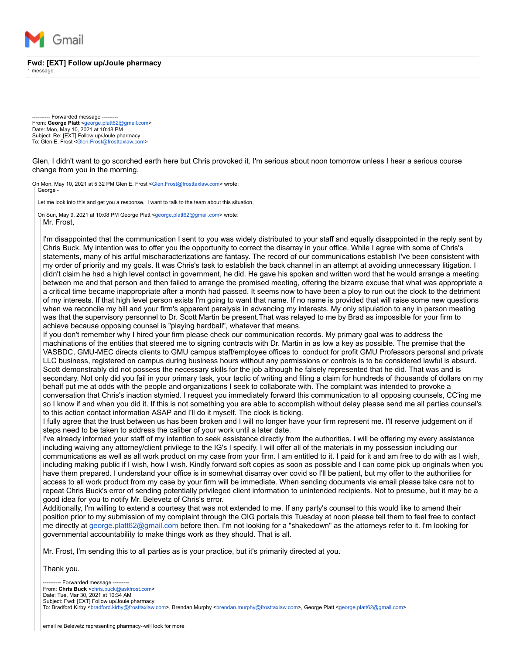

## **Fwd: [EXT] Follow up/Joule pharmacy**

1 message

-- Forwarded message -From: **George Platt** [<george.platt62@gmail.com>](mailto:george.platt62@gmail.com) Date: Mon, May 10, 2021 at 10:48 PM Subject: Re: [EXT] Follow up/Joule pharmacy To: Glen E. Frost [<Glen.Frost@frosttaxlaw.com](mailto:Glen.Frost@frosttaxlaw.com)>

Glen, I didn't want to go scorched earth here but Chris provoked it. I'm serious about noon tomorrow unless I hear a serious course change from you in the morning.

On Mon, May 10, 2021 at 5:32 PM Glen E. Frost <[Glen.Frost@frosttaxlaw.com>](mailto:Glen.Frost@frosttaxlaw.com) wrote: George -

Let me look into this and get you a response. I want to talk to the team about this situation

On Sun, May 9, 2021 at 10:08 PM George Platt [<george.platt62@gmail.com>](mailto:george.platt62@gmail.com) wrote: Mr. Frost,

I'm disappointed that the communication I sent to you was widely distributed to your staff and equally disappointed in the reply sent by Chris Buck. My intention was to offer you the opportunity to correct the disarray in your office. While I agree with some of Chris's statements, many of his artful mischaracterizations are fantasy. The record of our communications establish I've been consistent with my order of priority and my goals. It was Chris's task to establish the back channel in an attempt at avoiding unnecessary litigation. I didn't claim he had a high level contact in government, he did. He gave his spoken and written word that he would arrange a meeting between me and that person and then failed to arrange the promised meeting, offering the bizarre excuse that what was appropriate a a critical time became inappropriate after a month had passed. It seems now to have been a ploy to run out the clock to the detriment of my interests. If that high level person exists I'm going to want that name. If no name is provided that will raise some new questions when we reconcile my bill and your firm's apparent paralysis in advancing my interests. My only stipulation to any in person meeting was that the supervisory personnel to Dr. Scott Martin be present.That was relayed to me by Brad as impossible for your firm to achieve because opposing counsel is "playing hardball", whatever that means.

If you don't remember why I hired your firm please check our communication records. My primary goal was to address the machinations of the entities that steered me to signing contracts with Dr. Martin in as low a key as possible. The premise that the VASBDC, GMU-MEC directs clients to GMU campus staff/employee offices to conduct for profit GMU Professors personal and private LLC business, registered on campus during business hours without any permissions or controls is to be considered lawful is absurd. Scott demonstrably did not possess the necessary skills for the job although he falsely represented that he did. That was and is secondary. Not only did you fail in your primary task, your tactic of writing and filing a claim for hundreds of thousands of dollars on my behalf put me at odds with the people and organizations I seek to collaborate with. The complaint was intended to provoke a conversation that Chris's inaction stymied. I request you immediately forward this communication to all opposing counsels, CC'ing me so I know if and when you did it. If this is not something you are able to accomplish without delay please send me all parties counsel's to this action contact information ASAP and I'll do it myself. The clock is ticking.

I fully agree that the trust between us has been broken and I will no longer have your firm represent me. I'll reserve judgement on if steps need to be taken to address the caliber of your work until a later date.

I've already informed your staff of my intention to seek assistance directly from the authorities. I will be offering my every assistance including waiving any attorney/client privilege to the IG's I specify. I will offer all of the materials in my possession including our communications as well as all work product on my case from your firm. I am entitled to it. I paid for it and am free to do with as I wish, including making public if I wish, how I wish. Kindly forward soft copies as soon as possible and I can come pick up originals when you have them prepared. I understand your office is in somewhat disarray over covid so I'll be patient, but my offer to the authorities for access to all work product from my case by your firm will be immediate. When sending documents via email please take care not to repeat Chris Buck's error of sending potentially privileged client information to unintended recipients. Not to presume, but it may be a good idea for you to notify Mr. Belevetz of Chris's error.

Additionally, I'm willing to extend a courtesy that was not extended to me. If any party's counsel to this would like to amend their position prior to my submission of my complaint through the OIG portals this Tuesday at noon please tell them to feel free to contact me directly at [george.platt62@gmail.com](mailto:george.platt62@gmail.com) before then. I'm not looking for a "shakedown" as the attorneys refer to it. I'm looking for governmental accountability to make things work as they should. That is all.

Mr. Frost, I'm sending this to all parties as is your practice, but it's primarily directed at you.

Thank you.

-- Forwarded message --From: **Chris Buck** <[chris.buck@askfrost.com](mailto:chris.buck@askfrost.com)> Date: Tue, Mar 30, 2021 at 10:34 AM Subject: Fwd: [EXT] Follow up/Joule pharmacy To: Bradford Kirby <[bradford.kirby@frosttaxlaw.com>](mailto:bradford.kirby@frosttaxlaw.com), Brendan Murphy <[brendan.murphy@frosttaxlaw.com](mailto:brendan.murphy@frosttaxlaw.com)>, George Platt [<george.platt62@gmail.com>](mailto:george.platt62@gmail.com)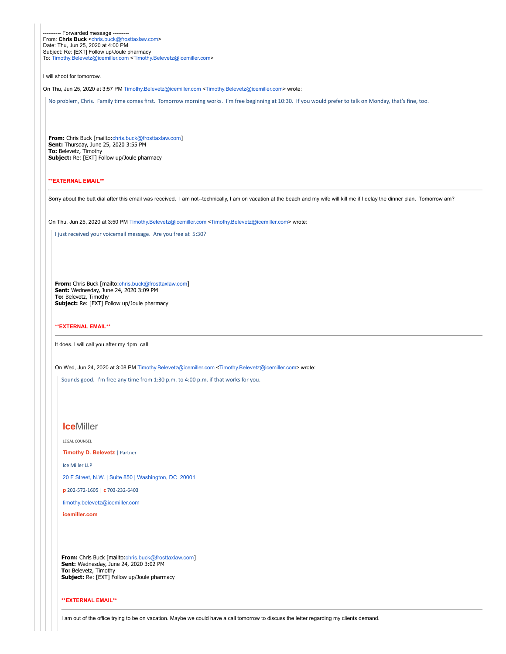-- Forwarded message --From: **Chris Buck** <[chris.buck@frosttaxlaw.com](mailto:chris.buck@frosttaxlaw.com)> Date: Thu, Jun 25, 2020 at 4:00 PM Subject: Re: [EXT] Follow up/Joule pharmacy To: [Timothy.Belevetz@icemiller.com <Timothy.Belevetz@icemiller.com>](mailto:Timothy.Belevetz@icemiller.com)

I will shoot for tomorrow.

On Thu, Jun 25, 2020 at 3:57 PM [Timothy.Belevetz@icemiller.com](mailto:Timothy.Belevetz@icemiller.com) <[Timothy.Belevetz@icemiller.com](mailto:Timothy.Belevetz@icemiller.com)> wrote:

No problem, Chris. Family time comes first. Tomorrow morning works. I'm free beginning at 10:30. If you would prefer to talk on Monday, that's fine, too.

**From:** Chris Buck [mailto:[chris.buck@frosttaxlaw.com](mailto:chris.buck@frosttaxlaw.com)] **Sent:** Thursday, June 25, 2020 3:55 PM **To:** Belevetz, Timothy Subject: Re: [EXT] Follow up/Joule pharmacy

## **\*\*EXTERNAL EMAIL\*\***

Sorry about the butt dial after this email was received. I am not--technically, I am on vacation at the beach and my wife will kill me if I delay the dinner plan. Tomorrow am?

On Thu, Jun 25, 2020 at 3:50 PM [Timothy.Belevetz@icemiller.com <Timothy.Belevetz@icemiller.com>](mailto:Timothy.Belevetz@icemiller.com) wrote:

I just received your voicemail message. Are you free at 5:30?

**From:** Chris Buck [mailto:[chris.buck@frosttaxlaw.com](mailto:chris.buck@frosttaxlaw.com)] **Sent:** Wednesday, June 24, 2020 3:09 PM **To:** Belevetz, Timothy **Subject:** Re: [EXT] Follow up/Joule pharmacy

**\*\*EXTERNAL EMAIL\*\***

It does. I will call you after my 1pm call

On Wed, Jun 24, 2020 at 3:08 PM [Timothy.Belevetz@icemiller.com](mailto:Timothy.Belevetz@icemiller.com) <[Timothy.Belevetz@icemiller.com](mailto:Timothy.Belevetz@icemiller.com)> wrote:

Sounds good. I'm free any time from 1:30 p.m. to 4:00 p.m. if that works for you.

# **Ice**Miller

LEGAL COUNSEL

**Timothy [D. Belevetz](http://www.icemiller.com/people/timothy-belevetz)** | Partner

Ice Miller LLP

20 [F Street, N.W. | Suite 850 | Washington, DC](https://www.google.com/maps/search/20+F+Street,+N.W.+%7C+Suite+850+%7C+Washington,+DC+20001?entry=gmail&source=g) [20001](https://www.google.com/maps/search/20+F+Street,+N.W.+%7C+Suite+850+%7C+Washington,+DC+20001?entry=gmail&source=g)

**p** 202-572-1605 | **c** 703-232-6403

[timothy.belevetz@icemiller.com](mailto:timothy.belevetz@icemiller.com)

**[icemiller.com](http://www.icemiller.com/)**

**From:** Chris Buck [mailto:[chris.buck@frosttaxlaw.com](mailto:chris.buck@frosttaxlaw.com)] **Sent:** Wednesday, June 24, 2020 3:02 PM **To:** Belevetz, Timothy Subject: Re: [EXT] Follow up/Joule pharmacy

## **\*\*EXTERNAL EMAIL\*\***

I am out of the office trying to be on vacation. Maybe we could have a call tomorrow to discuss the letter regarding my clients demand.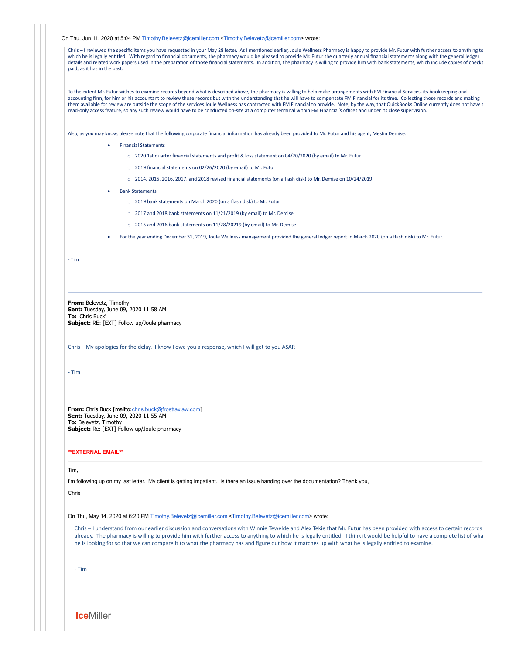On Thu, Jun 11, 2020 at 5:04 PM [Timothy.Belevetz@icemiller.com](mailto:Timothy.Belevetz@icemiller.com) [<Timothy.Belevetz@icemiller.com](mailto:Timothy.Belevetz@icemiller.com)> wrote:

Chris – I reviewed the specific items you have requested in your May 28 letter. As I mentioned earlier, Joule Wellness Pharmacy is happy to provide Mr. Futur with further access to anything to which he is legally entitled. With regard to financial documents, the pharmacy would be pleased to provide Mr. Futur the quarterly annual financial statements along with the general ledger details and related work papers used in the preparation of those financial statements. In addition, the pharmacy is willing to provide him with bank statements, which include copies of checks paid, as it has in the past.

To the extent Mr. Futur wishes to examine records beyond what is described above, the pharmacy is willing to help make arrangements with FM Financial Services, its bookkeeping and accounting firm, for him or his accountant to review those records but with the understanding that he will have to compensate FM Financial for its time. Collecting those records and making them available for review are outside the scope of the services Joule Wellness has contracted with FM Financial to provide. Note, by the way, that QuickBooks Online currently does not have a read-only access feature, so any such review would have to be conducted on-site at a computer terminal within FM Financial's offices and under its close supervision.

Also, as you may know, please note that the following corporate financial information has already been provided to Mr. Futur and his agent, Mesfin Demise:

- · Financial Statements
	- o 2020 1st quarter financial statements and profit & loss statement on 04/20/2020 (by email) to Mr. Futur
	- o 2019 financial statements on 02/26/2020 (by email) to Mr. Futur
	- o 2014, 2015, 2016, 2017, and 2018 revised financial statements (on a flash disk) to Mr. Demise on 10/24/2019
- · Bank Statements
	- o 2019 bank statements on March 2020 (on a flash disk) to Mr. Futur
	- o 2017 and 2018 bank statements on 11/21/2019 (by email) to Mr. Demise
	- o 2015 and 2016 bank statements on 11/28/20219 (by email) to Mr. Demise
- · For the year ending December 31, 2019, Joule Wellness management provided the general ledger report in March 2020 (on a flash disk) to Mr. Futur.

- Tim

**From:** Belevetz, Timothy **Sent:** Tuesday, June 09, 2020 11:58 AM **To:** 'Chris Buck' **Subject:** RE: [EXT] Follow up/Joule pharmacy

Chris—My apologies for the delay. I know I owe you a response, which I will get to you ASAP.

- Tim

**From:** Chris Buck [mailto:[chris.buck@frosttaxlaw.com](mailto:chris.buck@frosttaxlaw.com)] **Sent:** Tuesday, June 09, 2020 11:55 AM **To:** Belevetz, Timothy **Subject:** Re: [EXT] Follow up/Joule pharmacy

#### **\*\*EXTERNAL EMAIL\*\***

#### Tim,

I'm following up on my last letter. My client is getting impatient. Is there an issue handing over the documentation? Thank you,

Chris

On Thu, May 14, 2020 at 6:20 PM [Timothy.Belevetz@icemiller.com](mailto:Timothy.Belevetz@icemiller.com) <[Timothy.Belevetz@icemiller.com](mailto:Timothy.Belevetz@icemiller.com)> wrote:

Chris – I understand from our earlier discussion and conversations with Winnie Tewelde and Alex Tekie that Mr. Futur has been provided with access to certain records already. The pharmacy is willing to provide him with further access to anything to which he is legally entitled. I think it would be helpful to have a complete list of wha he is looking for so that we can compare it to what the pharmacy has and figure out how it matches up with what he is legally entitled to examine.

- Tim

**Ice**Miller